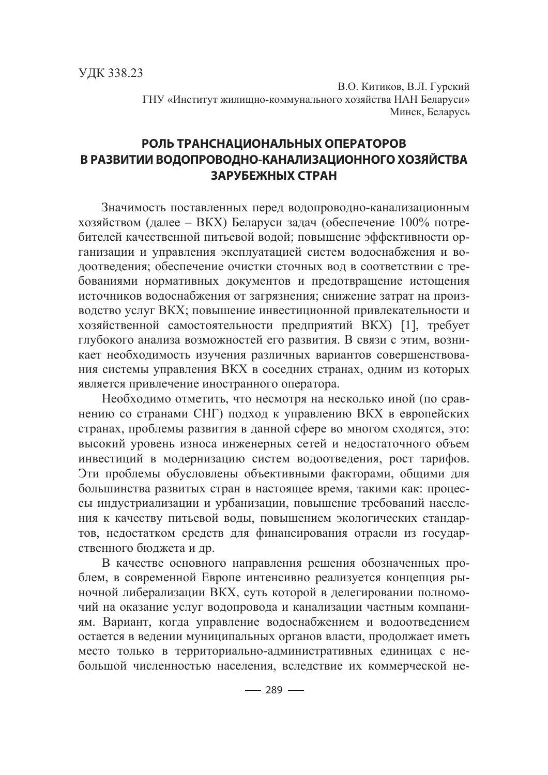В.О. Китиков, В.Л. Гурский ГНУ «Институт жилищно-коммунального хозяйства НАН Беларуси» Минск, Беларусь

## **РОЛЬ ТРАНСНАЦИОНАЛЬНЫХ ОПЕРАТОРОВ В РАЗВИТИИ ВОДОПРОВОДНО-КАНАЛИЗАЦИОННОГО ХОЗЯЙСТВА ЗАРУБЕЖНЫХ СТРАН**

Значимость поставленных перед водопроводно-канализационным хозяйством (далее – ВКХ) Беларуси задач (обеспечение  $100\%$  потребителей качественной питьевой волой: повышение эффективности организации и управления эксплуатацией систем водоснабжения и водоотведения; обеспечение очистки сточных вод в соответствии с требованиями нормативных документов и предотвращение истощения источников водоснабжения от загрязнения; снижение затрат на производство услуг ВКХ; повышение инвестиционной привлекательности и хозяйственной самостоятельности предприятий ВКХ) [1], требует глубокого анализа возможностей его развития. В связи с этим, возникает необходимость изучения различных вариантов совершенствования системы управления ВКХ в соседних странах, одним из которых является привлечение иностранного оператора.

Необходимо отметить, что несмотря на несколько иной (по сравнению со странами СНГ) подход к управлению ВКХ в европейских странах, проблемы развития в данной сфере во многом сходятся, это: высокий уровень износа инженерных сетей и недостаточного объем инвестиций в модернизацию систем водоотведения, рост тарифов. Эти проблемы обусловлены объективными факторами, общими для большинства развитых стран в настоящее время, такими как: процессы индустриализации и урбанизации, повышение требований населения к качеству питьевой воды, повышением экологических стандартов, недостатком средств для финансирования отрасли из государственного бюджета и др.

В качестве основного направления решения обозначенных проблем, в современной Европе интенсивно реализуется концепция рыночной либерализации ВКХ, суть которой в делегировании полномочий на оказание услуг водопровода и канализации частным компаниям. Вариант, когда управление водоснабжением и водоотведением остается в ведении муниципальных органов власти, продолжает иметь место только в территориально-административных единицах с небольшой численностью населения, вследствие их коммерческой не-

 $-289-$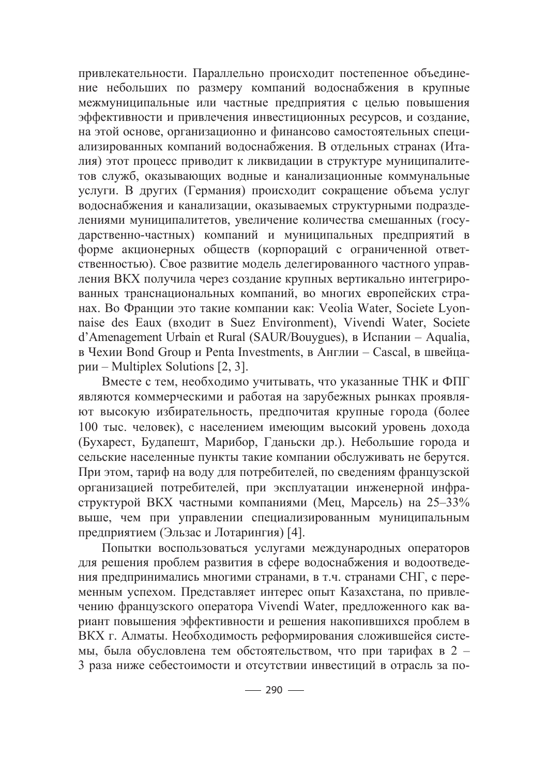привлекательности. Параллельно происходит постепенное объединение небольших по размеру компаний водоснабжения в крупные межмуниципальные или частные предприятия с целью повышения эффективности и привлечения инвестиционных ресурсов, и создание, на этой основе, организационно и финансово самостоятельных специализированных компаний водоснабжения. В отдельных странах (Италия) этот процесс приводит к ликвидации в структуре муниципалитетов служб, оказывающих водные и канализационные коммунальные услуги. В других (Германия) происходит сокращение объема услуг водоснабжения и канализации, оказываемых структурными подразделениями муниципалитетов, увеличение количества смешанных (государственно-частных) компаний и муниципальных предприятий в форме акционерных обществ (корпораций с ограниченной ответственностью). Свое развитие модель делегированного частного управления ВКХ получила через создание крупных вертикально интегрированных транснациональных компаний, во многих европейских странах. Во Франции это такие компании как: Veolia Water, Societe Lyonnaise des Eaux (входит в Suez Environment), Vivendi Water, Societe d'Amenagement Urbain et Rural (SAUR/Bouygues), в Испании – Aqualia, в Чехии Bond Group и Penta Investments, в Англии – Cascal, в швейцарии – Multiplex Solutions  $[2, 3]$ .

Вместе с тем, необходимо учитывать, что указанные ТНК и ФПГ являются коммерческими и работая на зарубежных рынках проявляют высокую избирательность, предпочитая крупные города (более 100 тыс. человек), с населением имеющим высокий уровень дохода (Бухарест, Будапешт, Марибор, Гданьски др.). Небольшие города и сельские населенные пункты такие компании обслуживать не берутся. При этом, тариф на воду для потребителей, по сведениям французской организацией потребителей, при эксплуатации инженерной инфраструктурой ВКХ частными компаниями (Мец, Марсель) на 25–33% выше, чем при управлении специализированным муниципальным предприятием (Эльзас и Лотарингия) [4].

Попытки воспользоваться услугами международных операторов для решения проблем развития в сфере водоснабжения и водоотведения предпринимались многими странами, в т.ч. странами СНГ, с переменным успехом. Представляет интерес опыт Казахстана, по привлечению французского оператора Vivendi Water, предложенного как вариант повышения эффективности и решения накопившихся проблем в ВКХ г. Алматы. Необходимость реформирования сложившейся системы, была обусловлена тем обстоятельством, что при тарифах в 2 – 3 раза ниже себестоимости и отсутствии инвестиций в отрасль за по-

 $-290-$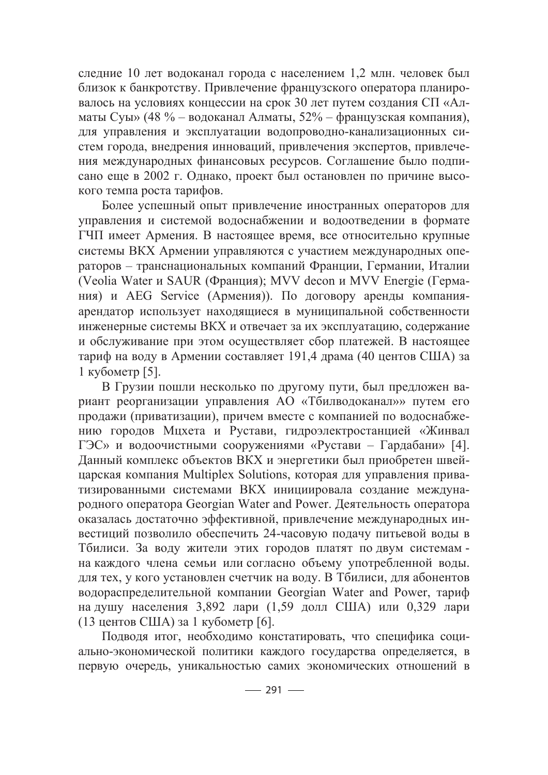следние 10 лет водоканал города с населением 1,2 млн. человек был близок к банкротству. Привлечение французского оператора планировалось на условиях концессии на срок 30 лет путем создания СП «Алматы Суы» (48 % – водоканал Алматы, 52% – французская компания), для управления и эксплуатации водопроводно-канализационных систем города, внедрения инноваций, привлечения экспертов, привлечения международных финансовых ресурсов. Соглашение было подписано еще в 2002 г. Однако, проект был остановлен по причине высокого темпа роста тарифов.

Более успешный опыт привлечение иностранных операторов для управления и системой водоснабжении и водоотведении в формате ГЧП имеет Армения. В настоящее время, все относительно крупные системы ВКХ Армении управляются с участием международных операторов – транснациональных компаний Франции, Германии, Италии (Veolia Water и SAUR (Франция); MVV decon и MVV Energie (Германия) и AEG Service (Армения)). По договору аренды компанияарендатор использует находящиеся в муниципальной собственности инженерные системы ВКХ и отвечает за их эксплуатацию, содержание и обслуживание при этом осуществляет сбор платежей. В настоящее тариф на воду в Армении составляет 191,4 драма (40 центов США) за  $1$  кубометр [5].

В Грузии пошли несколько по другому пути, был предложен вариант реорганизации управления АО «Тбилводоканал»» путем его продажи (приватизации), причем вместе с компанией по водоснабжению городов Мцхета и Рустави, гидроэлектростанцией «Жинвал ГЭС» и водоочистными сооружениями «Рустави – Гардабани» [4]. Данный комплекс объектов ВКХ и энергетики был приобретен швейцарская компания Multiplex Solutions, которая для управления приватизированными системами ВКХ инициировала создание международного оператора Georgian Water and Power. Деятельность оператора оказалась достаточно эффективной, привлечение международных инвестиций позволило обеспечить 24-часовую подачу питьевой воды в Тбилиси. За воду жители этих городов платят по двум системам на каждого члена семьи или согласно объему употребленной воды. для тех, у кого установлен счетчик на воду. В Тбилиси, для абонентов водораспределительной компании Georgian Water and Power, тариф на душу населения 3,892 лари (1,59 долл США) или 0,329 лари (13 центов США) за 1 кубометр [6].

Подводя итог, необходимо констатировать, что специфика социально-экономической политики каждого государства определяется, в первую очередь, уникальностью самих экономических отношений в